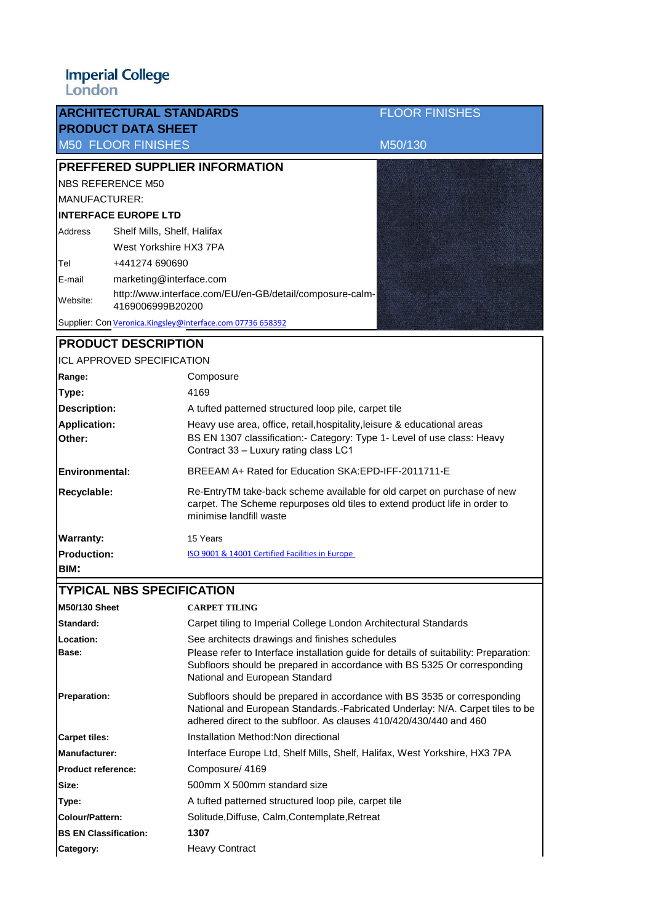**Imperial College**<br>London

| <b>ARCHITECTURAL STANDARDS</b>        |                             | <b>FLOOR FINISHES</b>                                                                                                                                                                                                           |  |
|---------------------------------------|-----------------------------|---------------------------------------------------------------------------------------------------------------------------------------------------------------------------------------------------------------------------------|--|
| <b>PRODUCT DATA SHEET</b>             |                             |                                                                                                                                                                                                                                 |  |
| <b>M50 FLOOR FINISHES</b>             |                             | M50/130                                                                                                                                                                                                                         |  |
| <b>PREFFERED SUPPLIER INFORMATION</b> |                             |                                                                                                                                                                                                                                 |  |
|                                       | <b>NBS REFERENCE M50</b>    |                                                                                                                                                                                                                                 |  |
| MANUFACTURER:                         |                             |                                                                                                                                                                                                                                 |  |
| <b>INTERFACE EUROPE LTD</b>           |                             |                                                                                                                                                                                                                                 |  |
| Address                               | Shelf Mills, Shelf, Halifax |                                                                                                                                                                                                                                 |  |
|                                       | West Yorkshire HX3 7PA      |                                                                                                                                                                                                                                 |  |
| Tel                                   | +441274 690690              |                                                                                                                                                                                                                                 |  |
| E-mail                                | marketing@interface.com     |                                                                                                                                                                                                                                 |  |
| Website:                              | 4169006999B20200            | http://www.interface.com/EU/en-GB/detail/composure-calm-                                                                                                                                                                        |  |
|                                       |                             | Supplier: Con Veronica.Kingsley@interface.com 07736 658392                                                                                                                                                                      |  |
| <b>PRODUCT DESCRIPTION</b>            |                             |                                                                                                                                                                                                                                 |  |
| <b>ICL APPROVED SPECIFICATION</b>     |                             |                                                                                                                                                                                                                                 |  |
| Range:                                |                             | Composure                                                                                                                                                                                                                       |  |
| Type:                                 |                             | 4169                                                                                                                                                                                                                            |  |
| <b>Description:</b>                   |                             | A tufted patterned structured loop pile, carpet tile                                                                                                                                                                            |  |
| <b>Application:</b>                   |                             | Heavy use area, office, retail, hospitality, leisure & educational areas                                                                                                                                                        |  |
| Other:                                |                             | BS EN 1307 classification:- Category: Type 1- Level of use class: Heavy<br>Contract 33 - Luxury rating class LC1                                                                                                                |  |
| <b>Environmental:</b>                 |                             | BREEAM A+ Rated for Education SKA: EPD-IFF-2011711-E                                                                                                                                                                            |  |
| Recyclable:                           |                             | Re-EntryTM take-back scheme available for old carpet on purchase of new<br>carpet. The Scheme repurposes old tiles to extend product life in order to<br>minimise landfill waste                                                |  |
| <b>Warranty:</b>                      |                             | 15 Years                                                                                                                                                                                                                        |  |
| <b>Production:</b>                    |                             | ISO 9001 & 14001 Certified Facilities in Europe                                                                                                                                                                                 |  |
| BIM:                                  |                             |                                                                                                                                                                                                                                 |  |
| <b>TYPICAL NBS SPECIFICATION</b>      |                             |                                                                                                                                                                                                                                 |  |
| <b>M50/130 Sheet</b>                  |                             | <b>CARPET TILING</b>                                                                                                                                                                                                            |  |
| Standard:                             |                             | Carpet tiling to Imperial College London Architectural Standards                                                                                                                                                                |  |
| Location:                             |                             | See architects drawings and finishes schedules                                                                                                                                                                                  |  |
| Base:                                 |                             | Please refer to Interface installation guide for details of suitability: Preparation:<br>Subfloors should be prepared in accordance with BS 5325 Or corresponding<br>National and European Standard                             |  |
| <b>Preparation:</b>                   |                             | Subfloors should be prepared in accordance with BS 3535 or corresponding<br>National and European Standards.-Fabricated Underlay: N/A. Carpet tiles to be<br>adhered direct to the subfloor. As clauses 410/420/430/440 and 460 |  |
| <b>Carpet tiles:</b>                  |                             | Installation Method: Non directional                                                                                                                                                                                            |  |
| <b>Manufacturer:</b>                  |                             | Interface Europe Ltd, Shelf Mills, Shelf, Halifax, West Yorkshire, HX3 7PA                                                                                                                                                      |  |
| <b>Product reference:</b>             |                             | Composure/ 4169                                                                                                                                                                                                                 |  |
| Size:                                 |                             | 500mm X 500mm standard size                                                                                                                                                                                                     |  |
| Type:                                 |                             | A tufted patterned structured loop pile, carpet tile                                                                                                                                                                            |  |
| Colour/Pattern:                       |                             | Solitude, Diffuse, Calm, Contemplate, Retreat                                                                                                                                                                                   |  |
| <b>BS EN Classification:</b>          |                             | 1307                                                                                                                                                                                                                            |  |
| Category:                             |                             | <b>Heavy Contract</b>                                                                                                                                                                                                           |  |